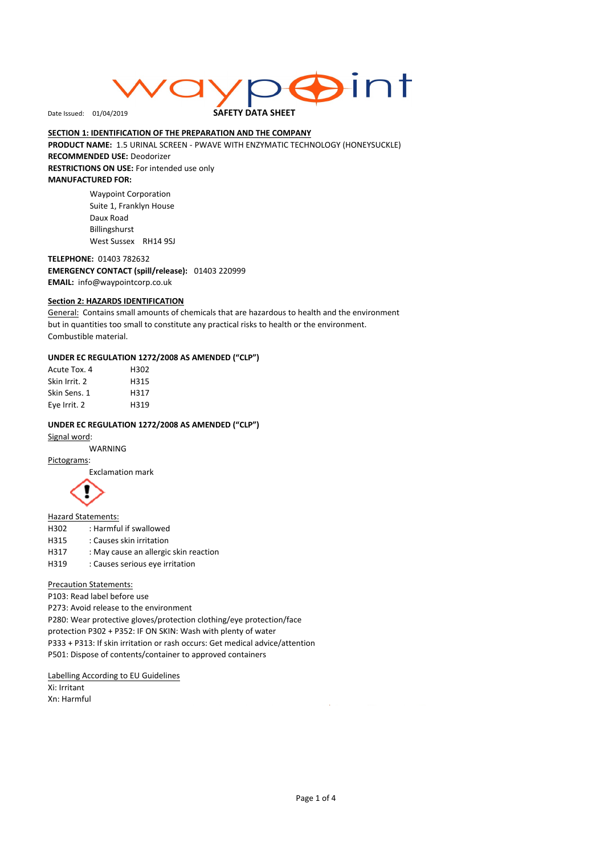# int

Date Issued: 01/04/2019

# SAFETY DATA SHEET

SECTION 1: IDENTIFICATION OF THE PREPARATION AND THE COMPANY PRODUCT NAME: 1.5 URINAL SCREEN - PWAVE WITH ENZYMATIC TECHNOLOGY (HONEYSUCKLE) RECOMMENDED USE: Deodorizer

RESTRICTIONS ON USE: For intended use only MANUFACTURED FOR:

> Waypoint Corporation Suite 1, Franklyn House Daux Road Billingshurst West Sussex RH14 9SJ

TELEPHONE: 01403 782632 EMERGENCY CONTACT (spill/release): 01403 220999 EMAIL: info@waypointcorp.co.uk

# Section 2: HAZARDS IDENTIFICATION

General: Contains small amounts of chemicals that are hazardous to health and the environment but in quantities too small to constitute any practical risks to health or the environment. Combustible material.

# UNDER EC REGULATION 1272/2008 AS AMENDED ("CLP")

| Acute Tox. 4  | H302 |
|---------------|------|
| Skin Irrit. 2 | H315 |
| Skin Sens. 1  | H317 |
| Eye Irrit. 2  | H319 |

# UNDER EC REGULATION 1272/2008 AS AMENDED ("CLP")

Signal word:

WARNING

Pictograms: Exclamation mark



Hazard Statements:

- H302 : Harmful if swallowed
- H315 : Causes skin irritation
- H317 : May cause an allergic skin reaction
- H319 : Causes serious eye irritation

Precaution Statements:

P103: Read label before use

P273: Avoid release to the environment

P280: Wear protective gloves/protection clothing/eye protection/face protection P302 + P352: IF ON SKIN: Wash with plenty of water P333 + P313: If skin irritation or rash occurs: Get medical advice/attention P501: Dispose of contents/container to approved containers

Labelling According to EU Guidelines

Xi: Irritant Xn: Harmful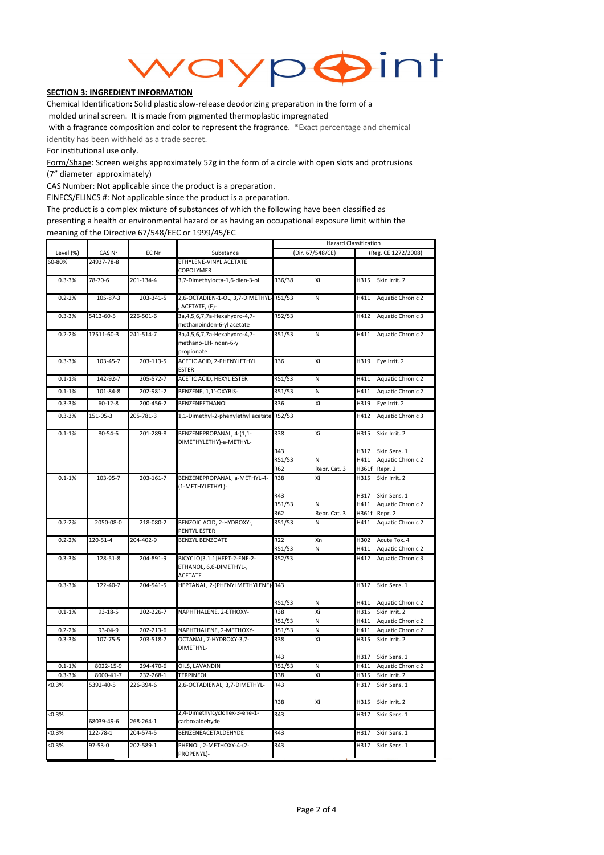

# **SECTION 3: INGREDIENT INFORMATION**

Chemical Identification: Solid plastic slow-release deodorizing preparation in the form of a molded urinal screen. It is made from pigmented thermoplastic impregnated

 with a fragrance composition and color to represent the fragrance. \*Exact percentage and chemical identity has been withheld as a trade secret.

For institutional use only.

Form/Shape: Screen weighs approximately 52g in the form of a circle with open slots and protrusions (7" diameter approximately)

CAS Number: Not applicable since the product is a preparation.

EINECS/ELINCS #: Not applicable since the product is a preparation.

The product is a complex mixture of substances of which the following have been classified as presenting a health or environmental hazard or as having an occupational exposure limit within the meaning of the Directive 67/548/EEC or 1999/45/EC

|            |                 |           |                                                                           |                      | <b>Hazard Classification</b> |                     |                                    |  |
|------------|-----------------|-----------|---------------------------------------------------------------------------|----------------------|------------------------------|---------------------|------------------------------------|--|
| Level (%)  | CAS Nr          | EC Nr     | Substance                                                                 | (Dir. 67/548/CE)     |                              | (Reg. CE 1272/2008) |                                    |  |
| 60-80%     | 24937-78-8      |           | ETHYLENE-VINYL ACETATE<br>COPOLYMER                                       |                      |                              |                     |                                    |  |
| $0.3 - 3%$ | 78-70-6         | 201-134-4 | 3,7-Dimethylocta-1,6-dien-3-ol                                            | R36/38               | Xi                           | H315                | Skin Irrit. 2                      |  |
| $0.2 - 2%$ | 105-87-3        | 203-341-5 | 2,6-OCTADIEN-1-OL, 3,7-DIMETHYL-<br>ACETATE, (E)-                         | R51/53               | N                            | H411                | Aquatic Chronic 2                  |  |
| $0.3 - 3%$ | 5413-60-5       | 226-501-6 | 3a, 4, 5, 6, 7, 7a-Hexahydro-4, 7-<br>methanoinden-6-yl acetate           | R52/53               |                              | H412                | Aquatic Chronic 3                  |  |
| $0.2 - 2%$ | 17511-60-3      | 241-514-7 | 3a, 4, 5, 6, 7, 7a-Hexahydro-4, 7-<br>methano-1H-inden-6-yl<br>propionate | R51/53               | N                            | H411                | Aquatic Chronic 2                  |  |
| $0.3 - 3%$ | 103-45-7        | 203-113-5 | ACETIC ACID, 2-PHENYLETHYL<br><b>ESTER</b>                                | R36                  | Xi                           | H319                | Eye Irrit. 2                       |  |
| $0.1 - 1%$ | 142-92-7        | 205-572-7 | ACETIC ACID, HEXYL ESTER                                                  | R51/53               | N                            | H411                | Aquatic Chronic 2                  |  |
| $0.1 - 1%$ | 101-84-8        | 202-981-2 | BENZENE, 1,1'-OXYBIS-                                                     | R51/53               | N                            | H411                | Aquatic Chronic 2                  |  |
| $0.3 - 3%$ | $60 - 12 - 8$   | 200-456-2 | BENZENEETHANOL                                                            | R36                  | Xi                           | H319                | Eye Irrit. 2                       |  |
| $0.3 - 3%$ | 151-05-3        | 205-781-3 | 1,1-Dimethyl-2-phenylethyl acetate                                        | R52/53               |                              | H412                | Aquatic Chronic 3                  |  |
| $0.1 - 1%$ | $80 - 54 - 6$   | 201-289-8 | BENZENEPROPANAL, 4-(1,1-<br>DIMETHYLETHY)-a-METHYL-                       | <b>R38</b>           | Xi                           | H315                | Skin Irrit. 2                      |  |
|            |                 |           |                                                                           | R43                  |                              | H317                | Skin Sens. 1                       |  |
|            |                 |           |                                                                           | R51/53               | N                            | H411                | Aquatic Chronic 2                  |  |
|            |                 |           |                                                                           | <b>R62</b>           | Repr. Cat. 3                 |                     | H361f Repr. 2                      |  |
| $0.1 - 1%$ | 103-95-7        | 203-161-7 | BENZENEPROPANAL, a-METHYL-4-<br>(1-METHYLETHYL)-                          | <b>R38</b>           | Xi                           | H315                | Skin Irrit. 2                      |  |
|            |                 |           |                                                                           | R43                  |                              | H317                | Skin Sens. 1                       |  |
|            |                 |           |                                                                           | R51/53               | N                            | H411                | Aquatic Chronic 2                  |  |
| $0.2 - 2%$ | 2050-08-0       | 218-080-2 | BENZOIC ACID, 2-HYDROXY-,                                                 | <b>R62</b><br>R51/53 | Repr. Cat. 3<br>N            | H411                | H361f Repr. 2<br>Aquatic Chronic 2 |  |
|            |                 |           | PENTYL ESTER                                                              |                      |                              |                     |                                    |  |
| $0.2 - 2%$ | 120-51-4        | 204-402-9 | <b>BENZYL BENZOATE</b>                                                    | R22                  | Xn                           | H302                | Acute Tox. 4                       |  |
|            |                 |           |                                                                           | R51/53               | Ν                            | H411                | Aquatic Chronic 2                  |  |
| $0.3 - 3%$ | 128-51-8        | 204-891-9 | BICYCLO[3.1.1]HEPT-2-ENE-2-<br>ETHANOL, 6,6-DIMETHYL-,<br><b>ACETATE</b>  | R52/53               |                              | H412                | Aquatic Chronic 3                  |  |
| $0.3 - 3%$ | 122-40-7        | 204-541-5 | HEPTANAL, 2-(PHENYLMETHYLENE)-R43                                         |                      |                              | H317                | Skin Sens. 1                       |  |
|            |                 |           |                                                                           |                      |                              | H411                |                                    |  |
| $0.1 - 1%$ | $93 - 18 - 5$   | 202-226-7 | NAPHTHALENE, 2-ETHOXY-                                                    | R51/53<br><b>R38</b> | Ν<br>Xi                      | H315                | Aquatic Chronic 2<br>Skin Irrit. 2 |  |
|            |                 |           |                                                                           | R51/53               | N                            | H411                | Aquatic Chronic 2                  |  |
| $0.2 - 2%$ | 93-04-9         | 202-213-6 | NAPHTHALENE, 2-METHOXY-                                                   | R51/53               | Ν                            | H411                | Aquatic Chronic 2                  |  |
| $0.3 - 3%$ | 107-75-5        | 203-518-7 | OCTANAL, 7-HYDROXY-3,7-<br>DIMETHYL-                                      | R38                  | Xi                           | H315                | Skin Irrit. 2                      |  |
|            |                 |           |                                                                           | R43                  |                              | H317                | Skin Sens. 1                       |  |
| $0.1 - 1%$ | $8022 - 15 - 9$ | 294-470-6 | OILS, LAVANDIN                                                            | R51/53               | N                            | H411                | <b>Aquatic Chronic 2</b>           |  |
| $0.3 - 3%$ | 8000-41-7       | 232-268-1 | <b>TERPINEOL</b>                                                          | <b>R38</b>           | Xi                           | H315                | Skin Irrit. 2                      |  |
| < 0.3%     | 5392-40-5       | 226-394-6 | 2,6-OCTADIENAL, 3,7-DIMETHYL-                                             | R43                  |                              | H317                | Skin Sens. 1                       |  |
|            |                 |           |                                                                           | R38                  | Xi                           | H315                | Skin Irrit. 2                      |  |
| < 0.3%     | 68039-49-6      | 268-264-1 | 2,4-Dimethylcyclohex-3-ene-1-<br>carboxaldehyde                           | R43                  |                              | H317                | Skin Sens. 1                       |  |
| < 0.3%     | 122-78-1        | 204-574-5 | BENZENEACETALDEHYDE                                                       | R43                  |                              | H317                | Skin Sens. 1                       |  |
| < 0.3%     | 97-53-0         | 202-589-1 | PHENOL, 2-METHOXY-4-(2-<br>PROPENYL)-                                     | R43                  |                              | H317                | Skin Sens. 1                       |  |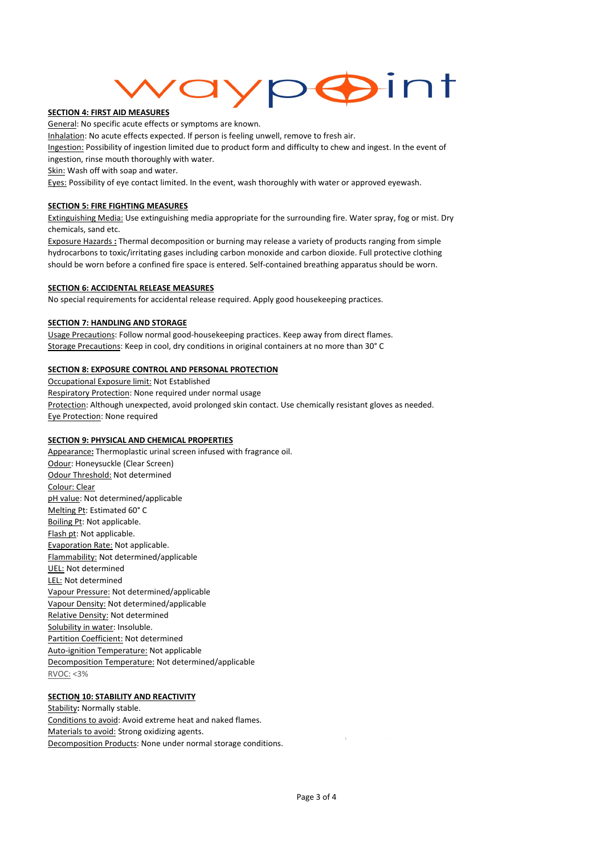# **Fint**  $\leftarrow$

#### SECTION 4: FIRST AID MEASURES

General: No specific acute effects or symptoms are known.

Inhalation: No acute effects expected. If person is feeling unwell, remove to fresh air.

Ingestion: Possibility of ingestion limited due to product form and difficulty to chew and ingest. In the event of ingestion, rinse mouth thoroughly with water.

Skin: Wash off with soap and water.

Eyes: Possibility of eye contact limited. In the event, wash thoroughly with water or approved eyewash.

#### SECTION 5: FIRE FIGHTING MEASURES

Extinguishing Media: Use extinguishing media appropriate for the surrounding fire. Water spray, fog or mist. Dry chemicals, sand etc.

Exposure Hazards : Thermal decomposition or burning may release a variety of products ranging from simple hydrocarbons to toxic/irritating gases including carbon monoxide and carbon dioxide. Full protective clothing should be worn before a confined fire space is entered. Self-contained breathing apparatus should be worn.

#### SECTION 6: ACCIDENTAL RELEASE MEASURES

No special requirements for accidental release required. Apply good housekeeping practices.

# **SECTION 7: HANDLING AND STORAGE**

Usage Precautions: Follow normal good-housekeeping practices. Keep away from direct flames. Storage Precautions: Keep in cool, dry conditions in original containers at no more than 30° C

#### SECTION 8: EXPOSURE CONTROL AND PERSONAL PROTECTION

Occupational Exposure limit: Not Established Respiratory Protection: None required under normal usage Protection: Although unexpected, avoid prolonged skin contact. Use chemically resistant gloves as needed. Eye Protection: None required

#### SECTION 9: PHYSICAL AND CHEMICAL PROPERTIES

Appearance: Thermoplastic urinal screen infused with fragrance oil. Odour: Honeysuckle (Clear Screen) Odour Threshold: Not determined Colour: Clear pH value: Not determined/applicable Melting Pt: Estimated 60° C Boiling Pt: Not applicable. Flash pt: Not applicable. Evaporation Rate: Not applicable. Flammability: Not determined/applicable UEL: Not determined LEL: Not determined Vapour Pressure: Not determined/applicable Vapour Density: Not determined/applicable Relative Density: Not determined Solubility in water: Insoluble. Partition Coefficient: Not determined Auto-ignition Temperature: Not applicable Decomposition Temperature: Not determined/applicable RVOC: <3%

# **SECTION 10: STABILITY AND REACTIVITY**

Stability: Normally stable. Conditions to avoid: Avoid extreme heat and naked flames. Materials to avoid: Strong oxidizing agents. Decomposition Products: None under normal storage conditions.